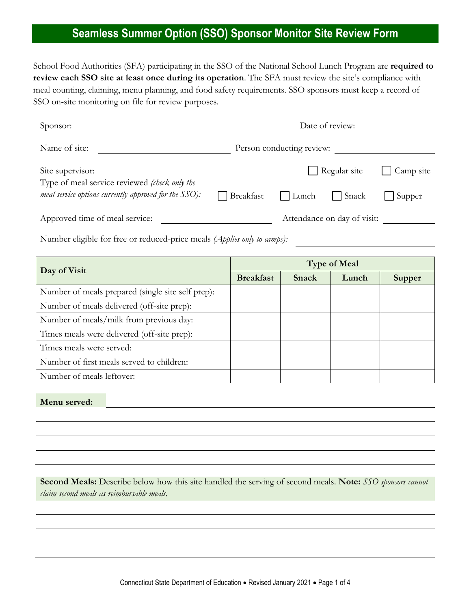## **Seamless Summer Option (SSO) Sponsor Monitor Site Review Form**

School Food Authorities (SFA) participating in the SSO of the National School Lunch Program are **required to review each SSO site at least once during its operation**. The SFA must review the site's compliance with meal counting, claiming, menu planning, and food safety requirements. SSO sponsors must keep a record of SSO on-site monitoring on file for review purposes.

| Sponsor:                                                                 |                  | Date of review:           |                             |               |  |  |
|--------------------------------------------------------------------------|------------------|---------------------------|-----------------------------|---------------|--|--|
| Name of site:                                                            |                  | Person conducting review: |                             |               |  |  |
| Site supervisor:                                                         |                  | Regular site<br>Camp site |                             |               |  |  |
| Type of meal service reviewed (check only the                            |                  |                           |                             |               |  |  |
| <i>meal service options currently approved for the <math>SSO</math>:</i> | Breakfast        | Lunch                     | Snack                       | Supper        |  |  |
| Approved time of meal service:                                           |                  |                           | Attendance on day of visit: |               |  |  |
| Number eligible for free or reduced-price meals (Applies only to camps): |                  |                           |                             |               |  |  |
|                                                                          |                  |                           |                             |               |  |  |
|                                                                          |                  |                           | <b>Type of Meal</b>         |               |  |  |
| Day of Visit                                                             | <b>Breakfast</b> | Snack                     | Lunch                       | <b>Supper</b> |  |  |
| Number of meals prepared (single site self prep):                        |                  |                           |                             |               |  |  |
| Number of meals delivered (off-site prep):                               |                  |                           |                             |               |  |  |
| Number of meals/milk from previous day:                                  |                  |                           |                             |               |  |  |
| Times meals were delivered (off-site prep):                              |                  |                           |                             |               |  |  |
| Times meals were served:                                                 |                  |                           |                             |               |  |  |
| Number of first meals served to children:                                |                  |                           |                             |               |  |  |

**Menu served:**

**Second Meals:** Describe below how this site handled the serving of second meals. **Note:** *SSO sponsors cannot claim second meals as reimbursable meals.*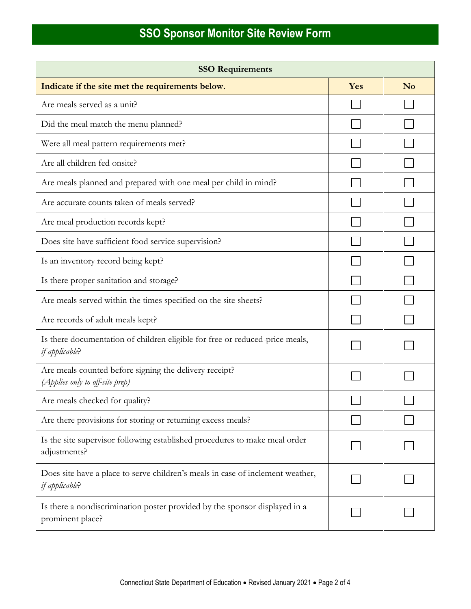| <b>SSO Requirements</b>                                                                          |     |                |  |  |  |
|--------------------------------------------------------------------------------------------------|-----|----------------|--|--|--|
| Indicate if the site met the requirements below.                                                 | Yes | N <sub>o</sub> |  |  |  |
| Are meals served as a unit?                                                                      |     |                |  |  |  |
| Did the meal match the menu planned?                                                             |     |                |  |  |  |
| Were all meal pattern requirements met?                                                          |     |                |  |  |  |
| Are all children fed onsite?                                                                     |     |                |  |  |  |
| Are meals planned and prepared with one meal per child in mind?                                  |     |                |  |  |  |
| Are accurate counts taken of meals served?                                                       |     |                |  |  |  |
| Are meal production records kept?                                                                |     |                |  |  |  |
| Does site have sufficient food service supervision?                                              |     |                |  |  |  |
| Is an inventory record being kept?                                                               |     |                |  |  |  |
| Is there proper sanitation and storage?                                                          |     |                |  |  |  |
| Are meals served within the times specified on the site sheets?                                  |     |                |  |  |  |
| Are records of adult meals kept?                                                                 |     |                |  |  |  |
| Is there documentation of children eligible for free or reduced-price meals,<br>if applicable?   |     |                |  |  |  |
| Are meals counted before signing the delivery receipt?<br>(Applies only to off-site prep)        |     |                |  |  |  |
| Are meals checked for quality?                                                                   |     |                |  |  |  |
| Are there provisions for storing or returning excess meals?                                      |     |                |  |  |  |
| Is the site supervisor following established procedures to make meal order<br>adjustments?       |     |                |  |  |  |
| Does site have a place to serve children's meals in case of inclement weather,<br>if applicable? |     |                |  |  |  |
| Is there a nondiscrimination poster provided by the sponsor displayed in a<br>prominent place?   |     |                |  |  |  |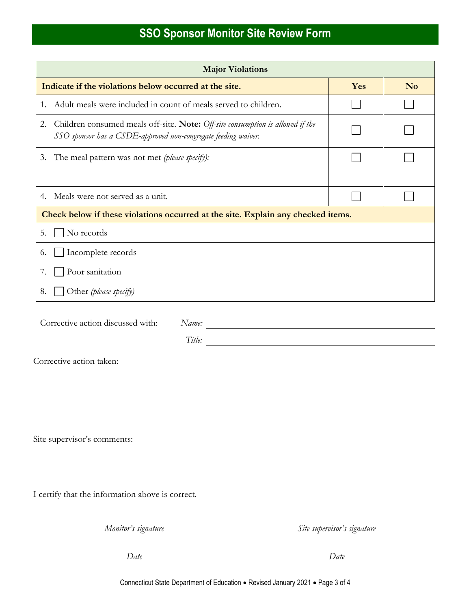## **SSO Sponsor Monitor Site Review Form**

| <b>Major Violations</b>                                                                                                                                                                                                                                                                      |     |                |  |  |  |  |
|----------------------------------------------------------------------------------------------------------------------------------------------------------------------------------------------------------------------------------------------------------------------------------------------|-----|----------------|--|--|--|--|
| Indicate if the violations below occurred at the site.                                                                                                                                                                                                                                       | Yes | N <sub>o</sub> |  |  |  |  |
| Adult meals were included in count of meals served to children.<br>1.                                                                                                                                                                                                                        |     |                |  |  |  |  |
| Children consumed meals off-site. Note: Off-site consumption is allowed if the<br>2.<br>SSO sponsor has a CSDE-approved non-congregate feeding waiver.                                                                                                                                       |     |                |  |  |  |  |
| 3. The meal pattern was not met (please specify):                                                                                                                                                                                                                                            |     |                |  |  |  |  |
| Meals were not served as a unit.<br>4.                                                                                                                                                                                                                                                       |     |                |  |  |  |  |
| Check below if these violations occurred at the site. Explain any checked items.                                                                                                                                                                                                             |     |                |  |  |  |  |
| No records<br>5.                                                                                                                                                                                                                                                                             |     |                |  |  |  |  |
| Incomplete records<br>6.                                                                                                                                                                                                                                                                     |     |                |  |  |  |  |
| Poor sanitation<br>7.                                                                                                                                                                                                                                                                        |     |                |  |  |  |  |
| Other (please specify)<br>8.                                                                                                                                                                                                                                                                 |     |                |  |  |  |  |
| Corrective action discussed with:<br>Name:<br>Title:<br><u>and the state of the state of the state of the state of the state of the state of the state of the state of the state of the state of the state of the state of the state of the state of the state of the state of the state</u> |     |                |  |  |  |  |
| Corrective action taken:                                                                                                                                                                                                                                                                     |     |                |  |  |  |  |
|                                                                                                                                                                                                                                                                                              |     |                |  |  |  |  |
| Site supervisor's comments:                                                                                                                                                                                                                                                                  |     |                |  |  |  |  |
| I certify that the information above is correct.                                                                                                                                                                                                                                             |     |                |  |  |  |  |

*Monitor's signature Site supervisor's signature*

*Date Date*